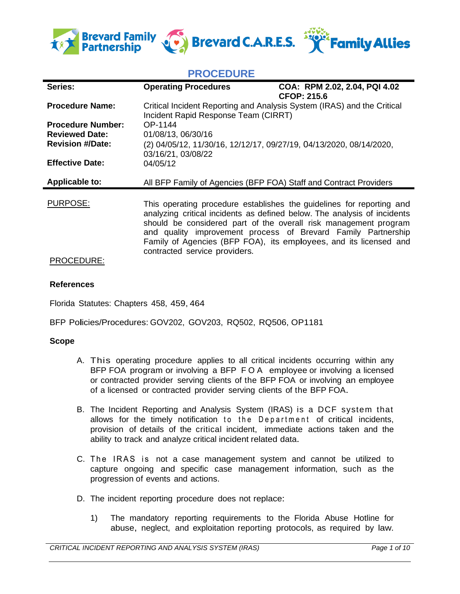

# **PROCEDURE**

| Series:                                           | <b>Operating Procedures</b>                                                                                     | COA: RPM 2.02, 2.04, PQI 4.02<br><b>CFOP: 215.6</b>                                                                                                                                                                                                                                                                                                         |
|---------------------------------------------------|-----------------------------------------------------------------------------------------------------------------|-------------------------------------------------------------------------------------------------------------------------------------------------------------------------------------------------------------------------------------------------------------------------------------------------------------------------------------------------------------|
| <b>Procedure Name:</b>                            | Critical Incident Reporting and Analysis System (IRAS) and the Critical<br>Incident Rapid Response Team (CIRRT) |                                                                                                                                                                                                                                                                                                                                                             |
| <b>Procedure Number:</b><br><b>Reviewed Date:</b> | OP-1144<br>01/08/13, 06/30/16                                                                                   |                                                                                                                                                                                                                                                                                                                                                             |
| <b>Revision #/Date:</b>                           | (2) 04/05/12, 11/30/16, 12/12/17, 09/27/19, 04/13/2020, 08/14/2020,<br>03/16/21, 03/08/22                       |                                                                                                                                                                                                                                                                                                                                                             |
| <b>Effective Date:</b>                            | 04/05/12                                                                                                        |                                                                                                                                                                                                                                                                                                                                                             |
| <b>Applicable to:</b>                             | All BFP Family of Agencies (BFP FOA) Staff and Contract Providers                                               |                                                                                                                                                                                                                                                                                                                                                             |
| <b>PURPOSE:</b>                                   | contracted service providers.                                                                                   | This operating procedure establishes the guidelines for reporting and<br>analyzing critical incidents as defined below. The analysis of incidents<br>should be considered part of the overall risk management program<br>and quality improvement process of Brevard Family Partnership<br>Family of Agencies (BFP FOA), its employees, and its licensed and |

# PROCEDURE:

### **References**

Florida Statutes: Chapters 458, 459, 464

BFP Policies/Procedures: GOV202, GOV203, RQ502, RQ506, OP1181

#### **Scope**

- A. This operating procedure applies to all critical incidents occurring within any BFP FOA program or involving a BFP F O A employee or involving a licensed or contracted provider serving clients of the BFP FOA or involving an employee of a licensed or contracted provider serving clients of the BFP FOA.
- B. The Incident Reporting and Analysis System (IRAS) is a DCF system that allows for the timely notification to the Department of critical incidents, provision of details of the critical incident, immediate actions taken and the ability to track and analyze critical incident related data.
- C. The IRAS is not a case management system and cannot be utilized to capture ongoing and specific case management information, such as the progression of events and actions.
- D. The incident reporting procedure does not replace:
	- 1) The mandatory reporting requirements to the Florida Abuse Hotline for abuse, neglect, and exploitation reporting protocols, as required by law.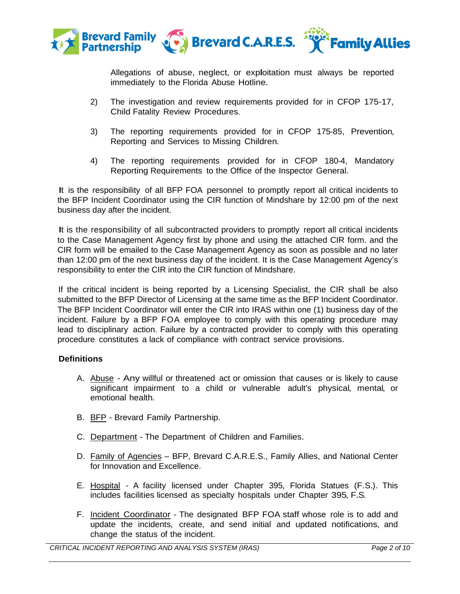

Allegations of abuse, neglect, or exploitation must always be reported immediately to the Florida Abuse Hotline.

- 2) The investigation and review requirements provided for in CFOP 175-17, Child Fatality Review Procedures.
- 3) The reporting requirements provided for in CFOP 175-85, Prevention, Reporting and Services to Missing Children.
- 4) The reporting requirements provided for in CFOP 180-4, Mandatory Reporting Requirements to the Office of the Inspector General.

It is the responsibility of all BFP FOA personnel to promptly report all critical incidents to the BFP Incident Coordinator using the CIR function of Mindshare by 12:00 pm of the next business day after the incident.

It is the responsibility of all subcontracted providers to promptly report all critical incidents to the Case Management Agency first by phone and using the attached CIR form. and the CIR form will be emailed to the Case Management Agency as soon as possible and no later than 12:00 pm of the next business day of the incident. It is the Case Management Agency's responsibility to enter the CIR into the CIR function of Mindshare.

If the critical incident is being reported by a Licensing Specialist, the CIR shall be also submitted to the BFP Director of Licensing at the same time as the BFP Incident Coordinator. The BFP Incident Coordinator will enter the CIR into IRAS within one (1) business day of the incident. Failure by a BFP FOA employee to comply with this operating procedure may lead to disciplinary action. Failure by a contracted provider to comply with this operating procedure constitutes a lack of compliance with contract service provisions.

# **Definitions**

- A. Abuse Any willful or threatened act or omission that causes or is likely to cause significant impairment to a child or vulnerable adult's physical, mental, or emotional health.
- B. BFP Brevard Family Partnership.
- C. Department The Department of Children and Families.
- D. Family of Agencies BFP, Brevard C.A.R.E.S., Family Allies, and National Center for Innovation and Excellence.
- E. Hospital A facility licensed under Chapter 395, Florida Statues (F.S.). This includes facilities licensed as specialty hospitals under Chapter 395, F.S.
- F. Incident Coordinator The designated BFP FOA staff whose role is to add and update the incidents, create, and send initial and updated notifications, and change the status of the incident.

*CRITICAL INCIDENT REPORTING AND ANALYSIS SYSTEM (IRAS) Page 2 of 10*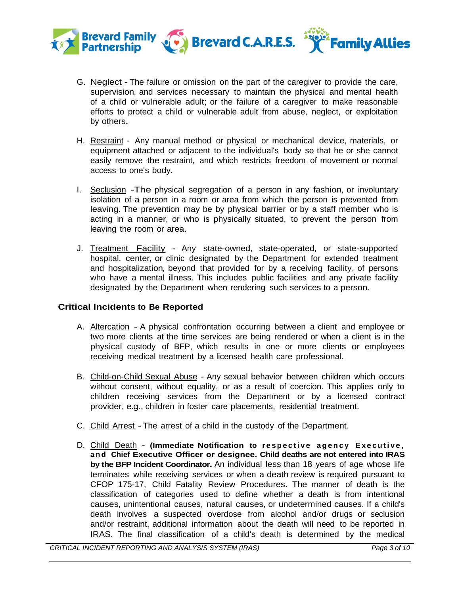

- G. Neglect The failure or omission on the part of the caregiver to provide the care, supervision, and services necessary to maintain the physical and mental health of a child or vulnerable adult; or the failure of a caregiver to make reasonable efforts to protect a child or vulnerable adult from abuse, neglect, or exploitation by others.
- H. Restraint Any manual method or physical or mechanical device, materials, or equipment attached or adjacent to the individual's body so that he or she cannot easily remove the restraint, and which restricts freedom of movement or normal access to one's body.
- I. Seclusion -The physical segregation of a person in any fashion, or involuntary isolation of a person in a room or area from which the person is prevented from leaving. The prevention may be by physical barrier or by a staff member who is acting in a manner, or who is physically situated, to prevent the person from leaving the room or area.
- J. Treatment Facility Any state-owned, state-operated, or state-supported hospital, center, or clinic designated by the Department for extended treatment and hospitalization, beyond that provided for by a receiving facility, of persons who have a mental illness. This includes public facilities and any private facility designated by the Department when rendering such services to a person.

# **Critical Incidents to Be Reported**

- A. Altercation A physical confrontation occurring between a client and employee or two more clients at the time services are being rendered or when a client is in the physical custody of BFP, which results in one or more clients or employees receiving medical treatment by a licensed health care professional.
- B. Child-on-Child Sexual Abuse Any sexual behavior between children which occurs without consent, without equality, or as a result of coercion. This applies only to children receiving services from the Department or by a licensed contract provider, e.g., children in foster care placements, residential treatment.
- C. Child Arrest The arrest of a child in the custody of the Department.
- D. Child Death **(Immediate Notification to respective agency Executive, a n d Chief Executive Officer or designee. Child deaths are not entered into IRAS by the BFP Incident Coordinator.** An individual less than 18 years of age whose life terminates while receiving services or when a death review is required pursuant to CFOP 175-17, Child Fatality Review Procedures. The manner of death is the classification of categories used to define whether a death is from intentional causes, unintentional causes, natural causes, or undetermined causes. If a child's death involves a suspected overdose from alcohol and/or drugs or seclusion and/or restraint, additional information about the death will need to be reported in IRAS. The final classification of a child's death is determined by the medical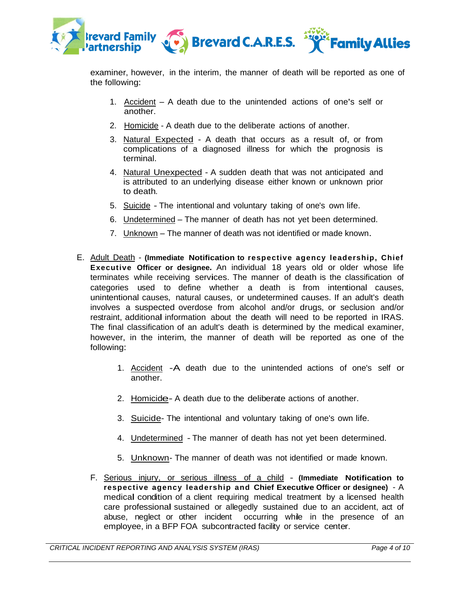

examiner, however, in the interim, the manner of death will be reported as one of the following:

- 1. Accident A death due to the unintended actions of one's self or another.
- 2. Homicide A death due to the deliberate actions of another.
- 3. Natural Expected A death that occurs as a result of, or from complications of a diagnosed illness for which the prognosis is terminal.
- 4. Natural Unexpected A sudden death that was not anticipated and is attributed to an underlying disease either known or unknown prior to death.
- 5. Suicide The intentional and voluntary taking of one's own life.
- 6. Undetermined The manner of death has not yet been determined.
- 7. Unknown The manner of death was not identified or made known.
- E. Adult Death **(Immediate Notification to respective agency leadership, Chief Executive Officer or designee.** An individual 18 years old or older whose life terminates while receiving services. The manner of death is the classification of categories used to define whether a death is from intentional causes, unintentional causes, natural causes, or undetermined causes. If an adult's death involves a suspected overdose from alcohol and/or drugs, or seclusion and/or restraint, additional information about the death will need to be reported in IRAS. The final classification of an adult's death is determined by the medical examiner, however, in the interim, the manner of death will be reported as one of the following:
	- 1. Accident -A death due to the unintended actions of one's self or another.
	- 2. Homicide- <sup>A</sup> death due to the deliberate actions of another.
	- 3. Suicide- The intentional and voluntary taking of one's own life.
	- 4. Undetermined The manner of death has not yet been determined.
	- 5. Unknown- The manner of death was not identified or made known.
	- F. Serious injury, or serious illness of a child **(Immediate Notification to respective agency leadership and Chief Executive Officer or designee)** - A medical condition of <sup>a</sup> client requiring medical treatment by a licensed health care professional sustained or allegedly sustained due to an accident, act of abuse, neglect or other incident occurring while in the presence of an employee, in a BFP FOA subcontracted facility or service center.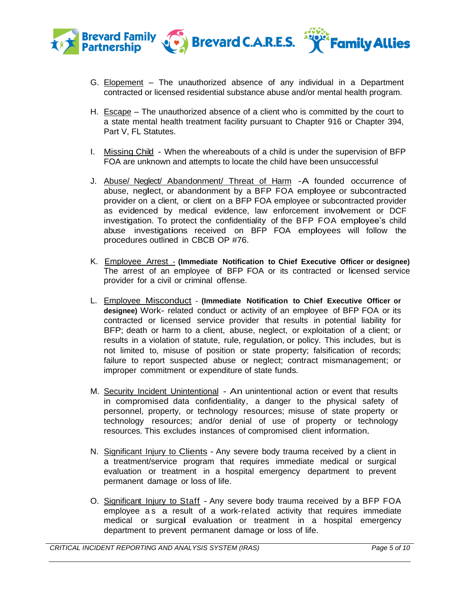

- G. Elopement The unauthorized absence of any individual in a Department contracted or licensed residential substance abuse and/or mental health program.
- H. Escape The unauthorized absence of a client who is committed by the court to a state mental health treatment facility pursuant to Chapter 916 or Chapter 394, Part V, FL Statutes.
- I. Missing Child When the whereabouts of a child is under the supervision of BFP FOA are unknown and attempts to locate the child have been unsuccessful
- J. Abuse/ Neglect/ Abandonment/ Threat of Harm A founded occurrence of abuse, neglect, or abandonment by <sup>a</sup> BFP FOA employee or subcontracted provider on a client, or client on a BFP FOA employee or subcontracted provider as evidenced by medical evidence, law enforcement involvement or DCF investigation. To protect the confidentiality of the BFP FOA employee's child abuse investigations received on BFP FOA employees will follow the procedures outlined in CBCB OP #76.
- K. Employee Arrest **(Immediate Notification to Chief Executive Officer or designee)** The arrest of an employee of BFP FOA or its contracted or licensed service provider for a civil or criminal offense.
- L. Employee Misconduct **(Immediate Notification to Chief Executive Officer or designee)** Work- related conduct or activity of an employee of BFP FOA or its contracted or licensed service provider that results in potential liability for BFP; death or harm to a client, abuse, neglect, or exploitation of a client; or results in a violation of statute, rule, regulation, or policy. This includes, but is not limited to, misuse of position or state property; falsification of records; failure to report suspected abuse or neglect; contract mismanagement; or improper commitment or expenditure of state funds.
- M. Security Incident Unintentional An unintentional action or event that results in compromised data confidentiality, a danger to the physical safety of personnel, property, or technology resources; misuse of state property or technology resources; and/or denial of use of property or technology resources. This excludes instances of compromised client information.
- N. Significant Injury to Clients Any severe body trauma received by a client in a treatment/service program that requires immediate medical or surgical evaluation or treatment in a hospital emergency department to prevent permanent damage or loss of life.
- O. Significant Injury to Staff Any severe body trauma received by a BFP FOA employee as a result of a work-related activity that requires immediate medical or surgical evaluation or treatment in <sup>a</sup> hospital emergency department to prevent permanent damage or loss of life.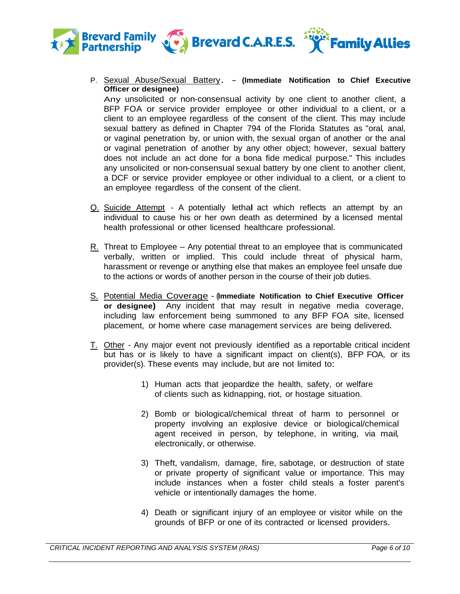

P. Sexual Abuse/Sexual Battery. - **(Immediate Notification to Chief Executive Officer or designee)**

Any unsolicited or non-consensual activity by one client to another client, a BFP FOA or service provider employee or other individual to a client, or a client to an employee regardless of the consent of the client. This may include sexual battery as defined in Chapter 794 of the Florida Statutes as "oral, anal, or vaginal penetration by, or union with, the sexual organ of another or the anal or vaginal penetration of another by any other object; however, sexual battery does not include an act done for a bona fide medical purpose." This includes any unsolicited or non-consensual sexual battery by one client to another client, a DCF or service provider employee or other individual to a client, or a client to an employee regardless of the consent of the client.

- Q. Suicide Attempt <sup>A</sup> potentially lethal act which reflects an attempt by an individual to cause his or her own death as determined by a licensed mental health professional or other licensed healthcare professional.
- $R<sub>z</sub>$ . Threat to Employee Any potential threat to an employee that is communicated verbally, written or implied. This could include threat of physical harm, harassment or revenge or anything else that makes an employee feel unsafe due to the actions or words of another person in the course of their job duties.
- S. Potential Media Coverage (**Immediate Notification to Chief Executive Officer or designee)** Any incident that may result in negative media coverage, including law enforcement being summoned to any BFP FOA site, licensed placement, or home where case management services are being delivered.
- T. Other Any major event not previously identified as a reportable critical incident but has or is likely to have a significant impact on client(s), BFP FOA, or its provider(s). These events may include, but are not limited to:
	- 1) Human acts that jeopardize the health, safety, or welfare of clients such as kidnapping, riot, or hostage situation.
	- 2) Bomb or biological/chemical threat of harm to personnel or property involving an explosive device or biological/chemical agent received in person, by telephone, in writing, via mail, electronically, or otherwise.
	- 3) Theft, vandalism, damage, fire, sabotage, or destruction of state or private property of significant value or importance. This may include instances when a foster child steals a foster parent's vehicle or intentionally damages the home.
	- 4) Death or significant injury of an employee or visitor while on the grounds of BFP or one of its contracted or licensed providers.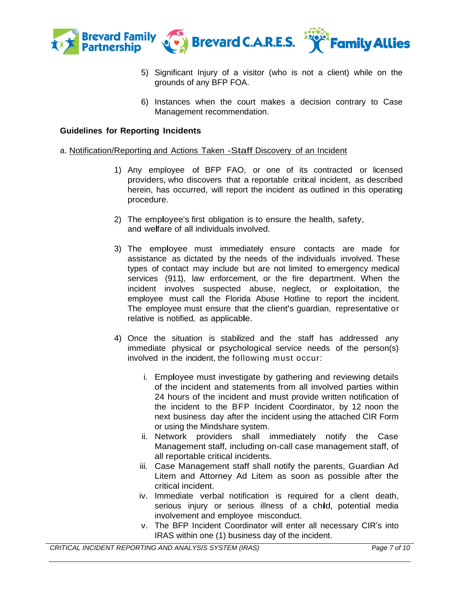

- 5) Significant Injury of a visitor (who is not a client) while on the grounds of any BFP FOA.
- 6) Instances when the court makes a decision contrary to Case Management recommendation.

### **Guidelines for Reporting Incidents**

#### a. Notification/Reporting and Actions Taken -Staff Discovery of an Incident

- 1) Any employee of BFP FAO, or one of its contracted or licensed providers, who discovers that a reportable critical incident, as described herein, has occurred, will report the incident as outlined in this operating procedure.
- 2) The employee's first obligation is to ensure the health, safety, and welfare of all individuals involved.
- 3) The employee must immediately ensure contacts are made for assistance as dictated by the needs of the individuals involved. These types of contact may include but are not limited to emergency medical services (911), law enforcement, or the fire department. When the incident involves suspected abuse, neglect, or exploitation, the employee must call the Florida Abuse Hotline to report the incident. The employee must ensure that the client's guardian, representative or relative is notified, as applicable.
- 4) Once the situation is stabilized and the staff has addressed any immediate physical or psychological service needs of the person(s) involved in the incident, the following must occur:
	- i. Employee must investigate by gathering and reviewing details of the incident and statements from all involved parties within 24 hours of the incident and must provide written notification of the incident to the BFP Incident Coordinator, by 12 noon the next business day after the incident using the attached CIR Form or using the Mindshare system.
	- ii. Network providers shall immediately notify the Case Management staff, including on-call case management staff, of all reportable critical incidents.
	- iii. Case Management staff shall notify the parents, Guardian Ad Litem and Attorney Ad Litem as soon as possible after the critical incident.
	- iv. Immediate verbal notification is required for a client death, serious injury or serious illness of a child, potential media involvement and employee misconduct.
	- v. The BFP Incident Coordinator will enter all necessary CIR's into IRAS within one (1) business day of the incident.

*CRITICAL INCIDENT REPORTING AND ANALYSIS SYSTEM (IRAS) Page 7 of 10*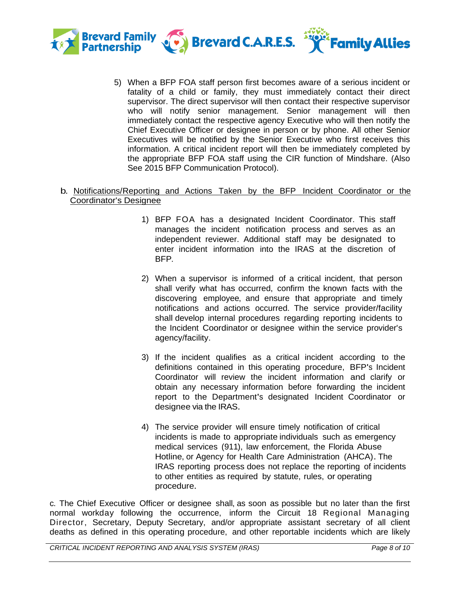

5) When a BFP FOA staff person first becomes aware of a serious incident or fatality of a child or family, they must immediately contact their direct supervisor. The direct supervisor will then contact their respective supervisor who will notify senior management. Senior management will then immediately contact the respective agency Executive who will then notify the Chief Executive Officer or designee in person or by phone. All other Senior Executives will be notified by the Senior Executive who first receives this information. A critical incident report will then be immediately completed by the appropriate BFP FOA staff using the CIR function of Mindshare. (Also See 2015 BFP Communication Protocol).

# b. Notifications/Reporting and Actions Taken by the BFP Incident Coordinator or the Coordinator's Designee

- 1) BFP FOA has a designated Incident Coordinator. This staff manages the incident notification process and serves as an independent reviewer. Additional staff may be designated to enter incident information into the IRAS at the discretion of BFP.
- 2) When a supervisor is informed of a critical incident, that person shall verify what has occurred, confirm the known facts with the discovering employee, and ensure that appropriate and timely notifications and actions occurred. The service provider/facility shall develop internal procedures regarding reporting incidents to the Incident Coordinator or designee within the service provider's agency/facility.
- 3) If the incident qualifies as a critical incident according to the definitions contained in this operating procedure, BFP's Incident Coordinator will review the incident information and clarify or obtain any necessary information before forwarding the incident report to the Department's designated Incident Coordinator or designee via the IRAS.
- 4) The service provider will ensure timely notification of critical incidents is made to appropriate individuals such as emergency medical services (911), law enforcement, the Florida Abuse Hotline, or Agency for Health Care Administration (AHCA). The IRAS reporting process does not replace the reporting of incidents to other entities as required by statute, rules, or operating procedure.

c. The Chief Executive Officer or designee shall, as soon as possible but no later than the first normal workday following the occurrence, inform the Circuit 18 Regional Managing Director, Secretary, Deputy Secretary, and/or appropriate assistant secretary of all client deaths as defined in this operating procedure, and other reportable incidents which are likely

*CRITICAL INCIDENT REPORTING AND ANALYSIS SYSTEM (IRAS) Page 8 of 10*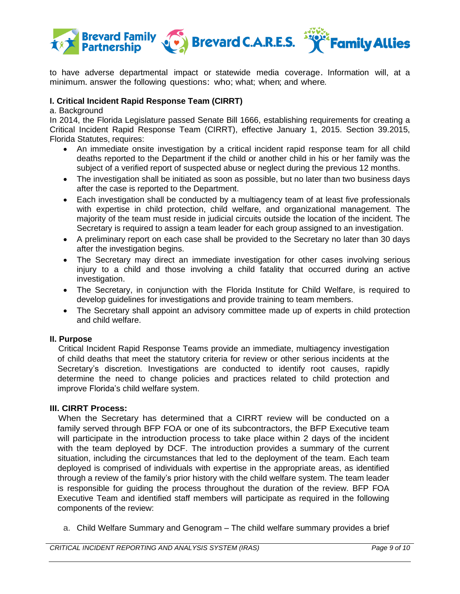

to have adverse departmental impact or statewide media coverage. Information will, at a minimum. answer the following questions: who; what; when; and where.

### **I. Critical Incident Rapid Response Team (CIRRT)**

#### a. Background

In 2014, the Florida Legislature passed Senate Bill 1666, establishing requirements for creating a Critical Incident Rapid Response Team (CIRRT), effective January 1, 2015. Section 39.2015, Florida Statutes, requires:

- An immediate onsite investigation by a critical incident rapid response team for all child deaths reported to the Department if the child or another child in his or her family was the subject of a verified report of suspected abuse or neglect during the previous 12 months.
- The investigation shall be initiated as soon as possible, but no later than two business days after the case is reported to the Department.
- Each investigation shall be conducted by a multiagency team of at least five professionals with expertise in child protection, child welfare, and organizational management. The majority of the team must reside in judicial circuits outside the location of the incident. The Secretary is required to assign a team leader for each group assigned to an investigation.
- A preliminary report on each case shall be provided to the Secretary no later than 30 days after the investigation begins.
- The Secretary may direct an immediate investigation for other cases involving serious injury to a child and those involving a child fatality that occurred during an active investigation.
- The Secretary, in conjunction with the Florida Institute for Child Welfare, is required to develop guidelines for investigations and provide training to team members.
- The Secretary shall appoint an advisory committee made up of experts in child protection and child welfare.

### **II. Purpose**

Critical Incident Rapid Response Teams provide an immediate, multiagency investigation of child deaths that meet the statutory criteria for review or other serious incidents at the Secretary's discretion. Investigations are conducted to identify root causes, rapidly determine the need to change policies and practices related to child protection and improve Florida's child welfare system.

# **III. CIRRT Process:**

When the Secretary has determined that a CIRRT review will be conducted on a family served through BFP FOA or one of its subcontractors, the BFP Executive team will participate in the introduction process to take place within 2 days of the incident with the team deployed by DCF. The introduction provides a summary of the current situation, including the circumstances that led to the deployment of the team. Each team deployed is comprised of individuals with expertise in the appropriate areas, as identified through a review of the family's prior history with the child welfare system. The team leader is responsible for guiding the process throughout the duration of the review. BFP FOA Executive Team and identified staff members will participate as required in the following components of the review:

a. Child Welfare Summary and Genogram – The child welfare summary provides a brief